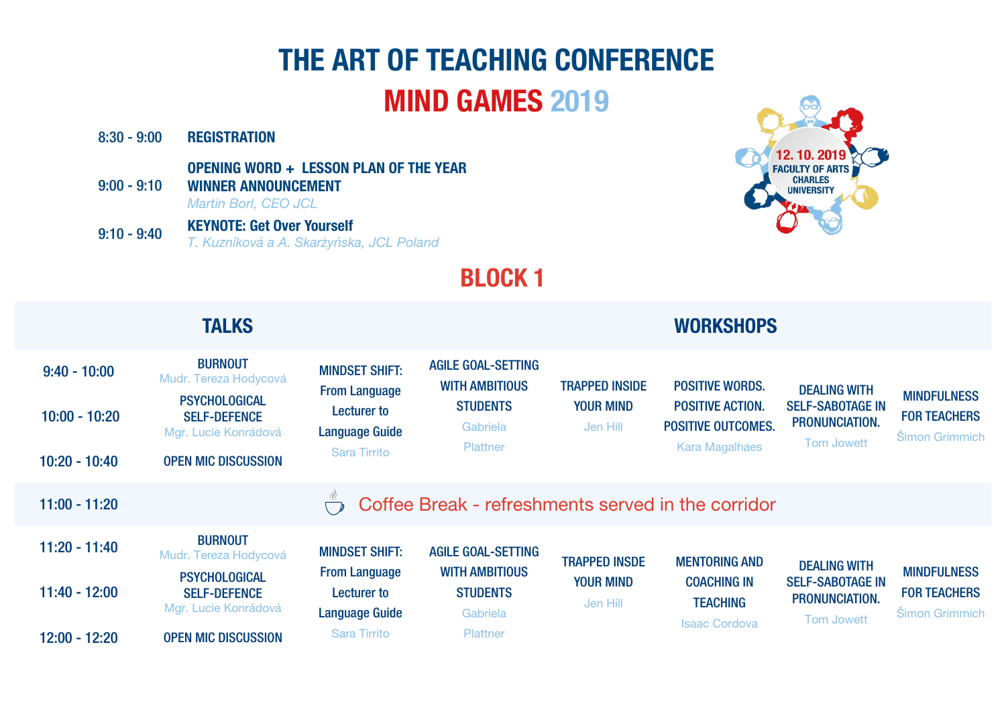# THE ART OF TEACHING CONFERENCE MIND GAMES 2019

DEALING WITH SELF-SABOTAGE IN PRONUNCIATION.

Tom Jowett

MINDFULNESS FOR TEACHERS Šimon Grimmich

| $8:30 - 9:00$<br>$9:00 - 9:10$ | <b>REGISTRATION</b><br><b>OPENING WORD + LESSON PLAN OF THE YEAR</b><br><b>WINNER ANNOUNCEMENT</b><br><b>Martin Borl, CEO JCL</b> |                                               |                                                    |                              |                                                      |
|--------------------------------|-----------------------------------------------------------------------------------------------------------------------------------|-----------------------------------------------|----------------------------------------------------|------------------------------|------------------------------------------------------|
| $9:10 - 9:40$                  | <b>KEYNOTE: Get Over Yourself</b><br>T. Kuzníková a A. Skarżyńska, JCL Poland                                                     |                                               |                                                    |                              |                                                      |
|                                |                                                                                                                                   |                                               | <b>BLOCK1</b>                                      |                              |                                                      |
|                                | <b>TALKS</b>                                                                                                                      |                                               |                                                    |                              | <b>WORKSHOPS</b>                                     |
| $9:40 - 10:00$                 | <b>BURNOUT</b><br>Mudr. Tereza Hodycová<br><b>PSYCHOLOGICAL</b>                                                                   | <b>MINDSET SHIFT:</b><br><b>From Language</b> | <b>AGILE GOAL-SETTING</b><br><b>WITH AMBITIOUS</b> | <b>TRAPPED INSIDE</b>        | <b>POSITIVE WORDS.</b>                               |
| $10:00 - 10:20$                | <b>SELF-DEFENCE</b><br>Mgr. Lucie Konrádová                                                                                       | <b>Lecturer to</b><br><b>Language Guide</b>   | <b>STUDENTS</b><br>Gabriela                        | <b>YOUR MIND</b><br>Jen Hill | <b>POSITIVE ACTION.</b><br><b>POSITIVE OUTCOMES.</b> |
| $10:20 - 10:40$                | <b>OPEN MIC DISCUSSION</b>                                                                                                        | <b>Sara Tirrito</b>                           | <b>Plattner</b>                                    |                              | <b>Kara Magalhaes</b>                                |
| $11:00 - 11:20$                |                                                                                                                                   |                                               | Coffee Break - refreshments served in the corridor |                              |                                                      |

|                 |                                                                     |                                                                     | $\sqrt{y}$ output to the component of the set $\sim$                  |                                                      |                                                               |
|-----------------|---------------------------------------------------------------------|---------------------------------------------------------------------|-----------------------------------------------------------------------|------------------------------------------------------|---------------------------------------------------------------|
| $11:20 - 11:40$ | <b>BURNOUT</b><br>Mudr. Tereza Hodycová                             | <b>MINDSET SHIFT:</b><br><b>From Language</b><br><b>Lecturer to</b> | <b>AGILE GOAL-SETTING</b><br><b>WITH AMBITIOUS</b><br><b>STUDENTS</b> | <b>TRAPPED INSDE</b><br><b>YOUR MIND</b><br>Jen Hill | <b>MENTORING AND</b><br><b>COACHING IN</b><br><b>TEACHING</b> |
| $11:40 - 12:00$ | <b>PSYCHOLOGICAL</b><br><b>SELF-DEFENCE</b><br>Mgr. Lucie Konrádová |                                                                     |                                                                       |                                                      |                                                               |
|                 |                                                                     | <b>Language Guide</b>                                               | Gabriela                                                              |                                                      |                                                               |
| $12:00 - 12:20$ | <b>OPEN MIC DISCUSSION</b>                                          | <b>Sara Tirrito</b>                                                 | <b>Plattner</b>                                                       |                                                      | <b>Isaac Cordova</b>                                          |



DEALING WITH SELF-SABOTAGE IN PRONUNCIATION.

Tom Jowett

MINDFULNESS FOR TEACHERS Šimon Grimmich